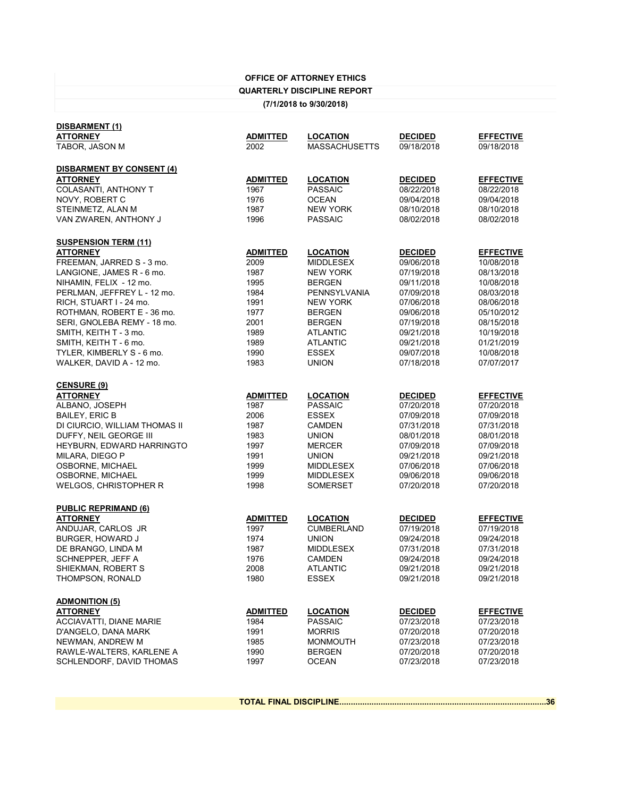## **OFFICE OF ATTORNEY ETHICS**

## **QUARTERLY DISCIPLINE REPORT**

**(7/1/2018 to 9/30/2018)**

| DISBARMENT (1)                   |                 |                      |                |                  |
|----------------------------------|-----------------|----------------------|----------------|------------------|
| <b>ATTORNEY</b>                  | <b>ADMITTED</b> | <b>LOCATION</b>      | <b>DECIDED</b> | <b>EFFECTIVE</b> |
| TABOR, JASON M                   | 2002            | <b>MASSACHUSETTS</b> | 09/18/2018     | 09/18/2018       |
|                                  |                 |                      |                |                  |
| <b>DISBARMENT BY CONSENT (4)</b> |                 |                      |                |                  |
| <b>ATTORNEY</b>                  | <b>ADMITTED</b> | <b>LOCATION</b>      | <b>DECIDED</b> | <b>EFFECTIVE</b> |
| <b>COLASANTI, ANTHONY T</b>      | 1967            | <b>PASSAIC</b>       | 08/22/2018     | 08/22/2018       |
| NOVY, ROBERT C                   | 1976            | <b>OCEAN</b>         | 09/04/2018     | 09/04/2018       |
| STEINMETZ, ALAN M                | 1987            | <b>NEW YORK</b>      | 08/10/2018     | 08/10/2018       |
| VAN ZWAREN, ANTHONY J            | 1996            | <b>PASSAIC</b>       | 08/02/2018     | 08/02/2018       |
| <b>SUSPENSION TERM (11)</b>      |                 |                      |                |                  |
| <b>ATTORNEY</b>                  | <b>ADMITTED</b> | <b>LOCATION</b>      | <b>DECIDED</b> | <b>EFFECTIVE</b> |
| FREEMAN, JARRED S - 3 mo.        | 2009            | <b>MIDDLESEX</b>     | 09/06/2018     | 10/08/2018       |
| LANGIONE, JAMES R - 6 mo.        | 1987            | <b>NEW YORK</b>      | 07/19/2018     | 08/13/2018       |
|                                  | 1995            | <b>BERGEN</b>        | 09/11/2018     | 10/08/2018       |
| NIHAMIN, FELIX - 12 mo.          |                 |                      |                |                  |
| PERLMAN, JEFFREY L - 12 mo.      | 1984            | PENNSYLVANIA         | 07/09/2018     | 08/03/2018       |
| RICH, STUART I - 24 mo.          | 1991            | <b>NEW YORK</b>      | 07/06/2018     | 08/06/2018       |
| ROTHMAN, ROBERT E - 36 mo.       | 1977            | <b>BERGEN</b>        | 09/06/2018     | 05/10/2012       |
| SERI, GNOLEBA REMY - 18 mo.      | 2001            | <b>BERGEN</b>        | 07/19/2018     | 08/15/2018       |
| SMITH, KEITH T - 3 mo.           | 1989            | <b>ATLANTIC</b>      | 09/21/2018     | 10/19/2018       |
| SMITH, KEITH T - 6 mo.           | 1989            | <b>ATLANTIC</b>      | 09/21/2018     | 01/21/2019       |
| TYLER, KIMBERLY S - 6 mo.        | 1990            | <b>ESSEX</b>         | 09/07/2018     | 10/08/2018       |
| WALKER, DAVID A - 12 mo.         | 1983            | <b>UNION</b>         | 07/18/2018     | 07/07/2017       |
| <b>CENSURE (9)</b>               |                 |                      |                |                  |
| <b>ATTORNEY</b>                  | <b>ADMITTED</b> | <b>LOCATION</b>      | <b>DECIDED</b> | <b>EFFECTIVE</b> |
| ALBANO, JOSEPH                   | 1987            | <b>PASSAIC</b>       | 07/20/2018     | 07/20/2018       |
| <b>BAILEY, ERIC B</b>            | 2006            | <b>ESSEX</b>         | 07/09/2018     | 07/09/2018       |
| DI CIURCIO, WILLIAM THOMAS II    | 1987            | <b>CAMDEN</b>        | 07/31/2018     | 07/31/2018       |
|                                  |                 | <b>UNION</b>         |                |                  |
| DUFFY, NEIL GEORGE III           | 1983            |                      | 08/01/2018     | 08/01/2018       |
| HEYBURN, EDWARD HARRINGTO        | 1997            | <b>MERCER</b>        | 07/09/2018     | 07/09/2018       |
| MILARA, DIEGO P                  | 1991            | <b>UNION</b>         | 09/21/2018     | 09/21/2018       |
| OSBORNE, MICHAEL                 | 1999            | <b>MIDDLESEX</b>     | 07/06/2018     | 07/06/2018       |
| OSBORNE, MICHAEL                 | 1999            | <b>MIDDLESEX</b>     | 09/06/2018     | 09/06/2018       |
| <b>WELGOS, CHRISTOPHER R</b>     | 1998            | <b>SOMERSET</b>      | 07/20/2018     | 07/20/2018       |
| <b>PUBLIC REPRIMAND (6)</b>      |                 |                      |                |                  |
| <b>ATTORNEY</b>                  | <b>ADMITTED</b> | <b>LOCATION</b>      | <b>DECIDED</b> | <b>EFFECTIVE</b> |
| ANDUJAR, CARLOS JR               | 1997            | <b>CUMBERLAND</b>    | 07/19/2018     | 07/19/2018       |
| BURGER, HOWARD J                 | 1974            | <b>UNION</b>         | 09/24/2018     | 09/24/2018       |
| DE BRANGO, LINDA M               | 1987            | <b>MIDDLESEX</b>     | 07/31/2018     | 07/31/2018       |
| SCHNEPPER, JEFF A                | 1976            | <b>CAMDEN</b>        | 09/24/2018     | 09/24/2018       |
| SHIEKMAN, ROBERT S               | 2008            | <b>ATLANTIC</b>      | 09/21/2018     | 09/21/2018       |
|                                  |                 |                      |                |                  |
| THOMPSON, RONALD                 | 1980            | <b>ESSEX</b>         | 09/21/2018     | 09/21/2018       |
| <b>ADMONITION (5)</b>            |                 |                      |                |                  |
| <b>ATTORNEY</b>                  | <b>ADMITTED</b> | <b>LOCATION</b>      | <b>DECIDED</b> | <b>EFFECTIVE</b> |
| <b>ACCIAVATTI, DIANE MARIE</b>   | 1984            | <b>PASSAIC</b>       | 07/23/2018     | 07/23/2018       |
| D'ANGELO, DANA MARK              | 1991            | <b>MORRIS</b>        | 07/20/2018     | 07/20/2018       |
| NEWMAN, ANDREW M                 | 1985            | <b>MONMOUTH</b>      | 07/23/2018     | 07/23/2018       |
| RAWLE-WALTERS, KARLENE A         | 1990            | <b>BERGEN</b>        | 07/20/2018     | 07/20/2018       |
| SCHLENDORF, DAVID THOMAS         | 1997            | <b>OCEAN</b>         | 07/23/2018     | 07/23/2018       |
|                                  |                 |                      |                |                  |

**TOTAL FINAL DISCIPLINE..........................................................................................36**